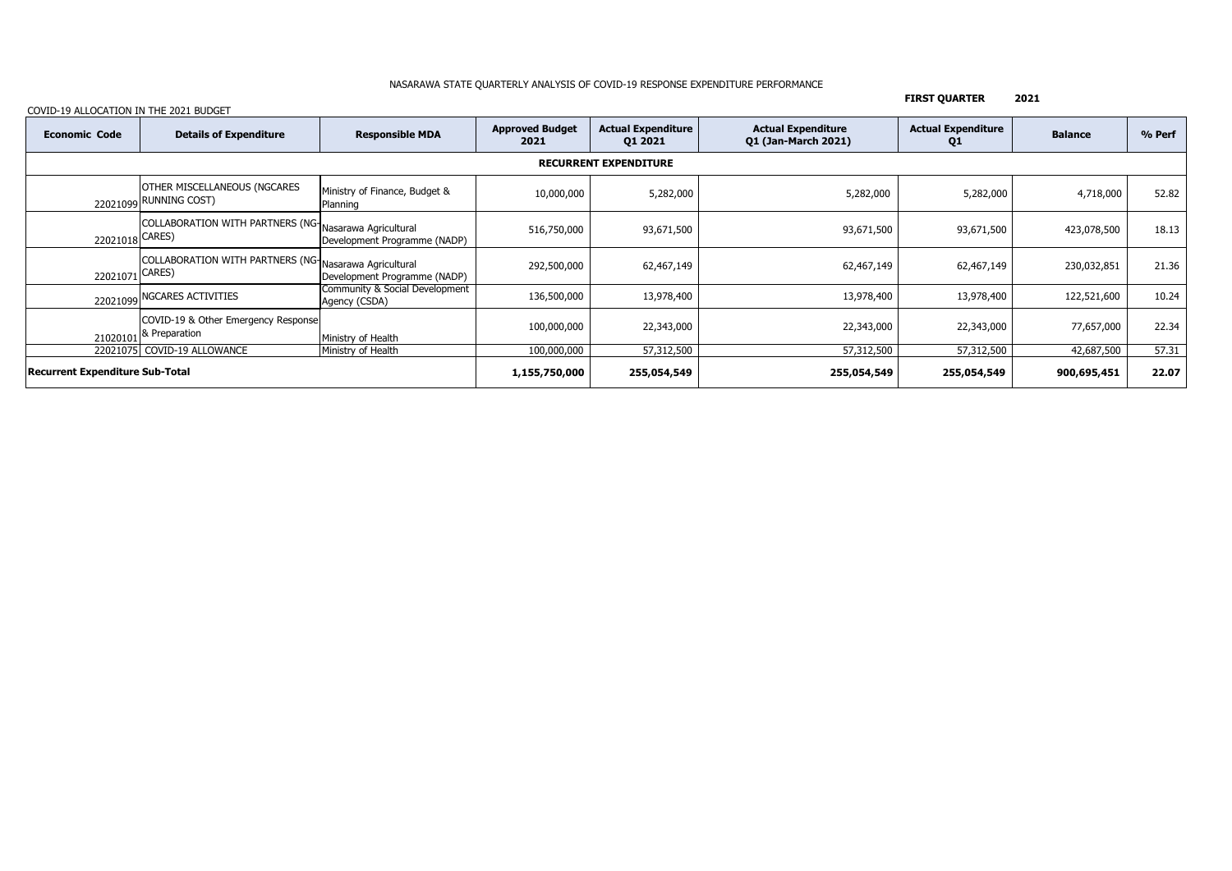### NASARAWA STATE QUARTERLY ANALYSIS OF COVID-19 RESPONSE EXPENDITURE PERFORMANCE

**FIRST QUARTER 2021**

| <b>Economic Code</b>                   | <b>Details of Expenditure</b>                                            | <b>Responsible MDA</b>                          | <b>Approved Budget</b><br>2021 | <b>Actual Expenditure</b><br>01 2021 | <b>Actual Expenditure</b><br><b>Q1 (Jan-March 2021)</b> | <b>Actual Expenditure</b><br>Q1 | <b>Balance</b> | % Perf |  |  |
|----------------------------------------|--------------------------------------------------------------------------|-------------------------------------------------|--------------------------------|--------------------------------------|---------------------------------------------------------|---------------------------------|----------------|--------|--|--|
| <b>RECURRENT EXPENDITURE</b>           |                                                                          |                                                 |                                |                                      |                                                         |                                 |                |        |  |  |
|                                        | <b>OTHER MISCELLANEOUS (NGCARES</b><br>22021099 RUNNING COST)            | Ministry of Finance, Budget &<br>Planning       | 10,000,000                     | 5,282,000                            | 5,282,000                                               | 5,282,000                       | 4,718,000      | 52.82  |  |  |
| 22021018 CARES)                        | COLLABORATION WITH PARTNERS (NG Nasarawa Agricultural                    | Development Programme (NADP)                    | 516,750,000                    | 93,671,500                           | 93,671,500                                              | 93,671,500                      | 423,078,500    | 18.13  |  |  |
| 22021071 CARES)                        | COLLABORATION WITH PARTNERS (NG Nasarawa Agricultural                    | Development Programme (NADP)                    | 292,500,000                    | 62,467,149                           | 62,467,149                                              | 62,467,149                      | 230,032,851    | 21.36  |  |  |
|                                        | 22021099 NGCARES ACTIVITIES                                              | Community & Social Development<br>Agency (CSDA) | 136,500,000                    | 13,978,400                           | 13,978,400                                              | 13,978,400                      | 122,521,600    | 10.24  |  |  |
|                                        | COVID-19 & Other Emergency Response<br>21020101 <sup>8</sup> Preparation | Ministry of Health                              | 100,000,000                    | 22,343,000                           | 22,343,000                                              | 22,343,000                      | 77,657,000     | 22.34  |  |  |
|                                        | 22021075 COVID-19 ALLOWANCE                                              | Ministry of Health                              | 100,000,000                    | 57,312,500                           | 57,312,500                                              | 57,312,500                      | 42,687,500     | 57.31  |  |  |
| <b>Recurrent Expenditure Sub-Total</b> |                                                                          |                                                 | 1,155,750,000                  | 255,054,549                          | 255,054,549                                             | 255,054,549                     | 900,695,451    | 22.07  |  |  |

## COVID-19 ALLOCATION IN THE 2021 BUDGET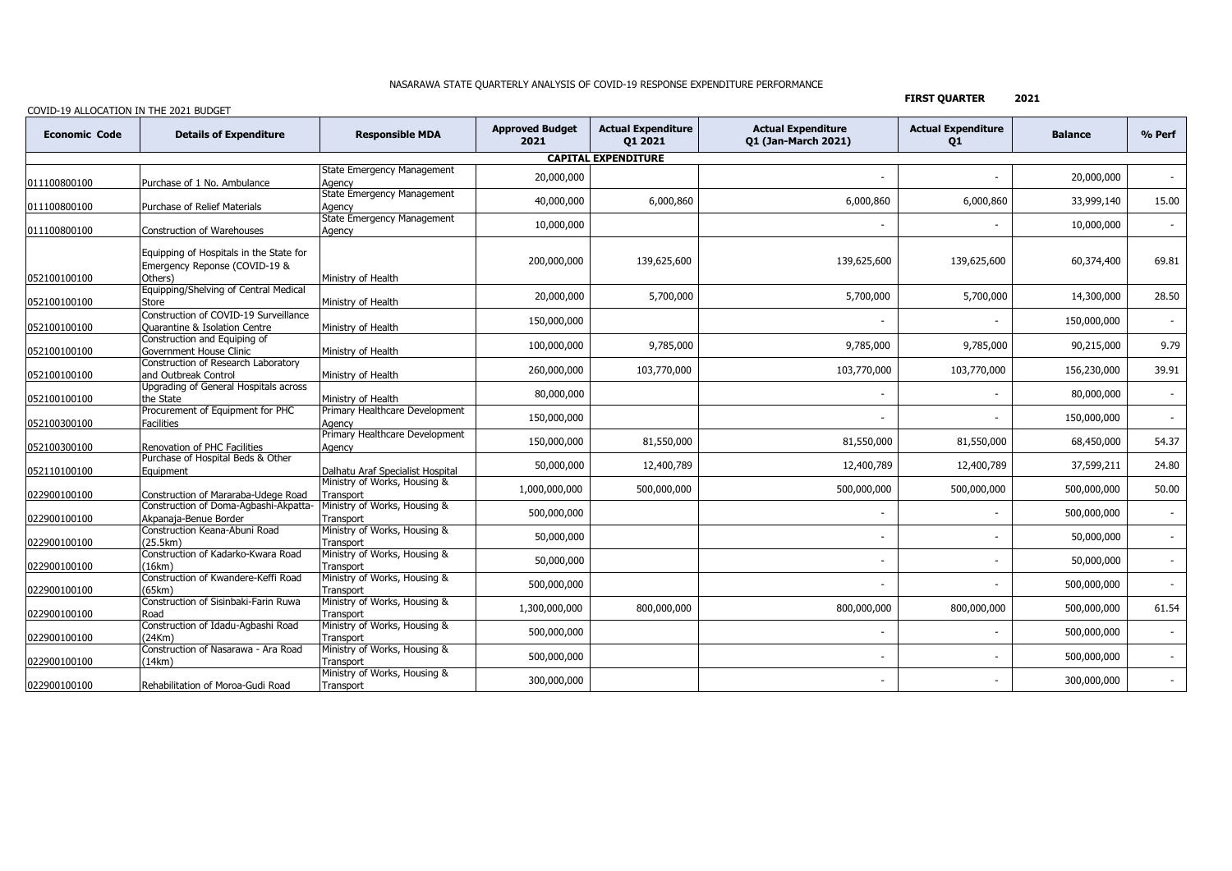### NASARAWA STATE QUARTERLY ANALYSIS OF COVID-19 RESPONSE EXPENDITURE PERFORMANCE

# COVID-19 ALLOCATION IN THE 2021 BUDGET

**FIRST QUARTER 2021**

| COVID-19 ALLOCATION IN THE 2021 DODGE |                                                                                     |                                                                           |                                |                                      |                                                         |                                 |                |                          |  |  |
|---------------------------------------|-------------------------------------------------------------------------------------|---------------------------------------------------------------------------|--------------------------------|--------------------------------------|---------------------------------------------------------|---------------------------------|----------------|--------------------------|--|--|
| <b>Economic Code</b>                  | <b>Details of Expenditure</b>                                                       | <b>Responsible MDA</b>                                                    | <b>Approved Budget</b><br>2021 | <b>Actual Expenditure</b><br>Q1 2021 | <b>Actual Expenditure</b><br><b>Q1 (Jan-March 2021)</b> | <b>Actual Expenditure</b><br>Q1 | <b>Balance</b> | % Perf                   |  |  |
| <b>CAPITAL EXPENDITURE</b>            |                                                                                     |                                                                           |                                |                                      |                                                         |                                 |                |                          |  |  |
| 011100800100                          | Purchase of 1 No. Ambulance                                                         | <b>State Emergency Management</b><br>Agency                               | 20,000,000                     |                                      |                                                         |                                 | 20,000,000     | $\overline{\phantom{0}}$ |  |  |
| 011100800100                          | Purchase of Relief Materials                                                        | <b>State Emergency Management</b><br>Agency                               | 40,000,000                     | 6,000,860                            | 6,000,860                                               | 6,000,860                       | 33,999,140     | 15.00                    |  |  |
| 011100800100                          | Construction of Warehouses                                                          | <b>State Emergency Management</b><br>Agency                               | 10,000,000                     |                                      |                                                         |                                 | 10,000,000     | $\overline{\phantom{a}}$ |  |  |
| 052100100100                          | Equipping of Hospitals in the State for<br>Emergency Reponse (COVID-19 &<br>Others) | Ministry of Health                                                        | 200,000,000                    | 139,625,600                          | 139,625,600                                             | 139,625,600                     | 60,374,400     | 69.81                    |  |  |
| 052100100100                          | Equipping/Shelving of Central Medical<br>Store                                      | Ministry of Health                                                        | 20,000,000                     | 5,700,000                            | 5,700,000                                               | 5,700,000                       | 14,300,000     | 28.50                    |  |  |
| 052100100100                          | Construction of COVID-19 Surveillance<br><b>Ouarantine &amp; Isolation Centre</b>   | Ministry of Health                                                        | 150,000,000                    |                                      |                                                         |                                 | 150,000,000    | $\overline{\phantom{a}}$ |  |  |
| 052100100100                          | Construction and Equiping of<br>Government House Clinic                             | Ministry of Health                                                        | 100,000,000                    | 9,785,000                            | 9,785,000                                               | 9,785,000                       | 90,215,000     | 9.79                     |  |  |
| 052100100100                          | Construction of Research Laboratory<br>and Outbreak Control                         | Ministry of Health                                                        | 260,000,000                    | 103,770,000                          | 103,770,000                                             | 103,770,000                     | 156,230,000    | 39.91                    |  |  |
| 052100100100                          | Upgrading of General Hospitals across<br>the State                                  | Ministry of Health                                                        | 80,000,000                     |                                      |                                                         |                                 | 80,000,000     | $\sim$                   |  |  |
| 052100300100                          | Procurement of Equipment for PHC<br>Facilities                                      | Primary Healthcare Development<br>Agency                                  | 150,000,000                    |                                      |                                                         |                                 | 150,000,000    | $\blacksquare$           |  |  |
| 052100300100                          | Renovation of PHC Facilities                                                        | Primary Healthcare Development<br>Agency                                  | 150,000,000                    | 81,550,000                           | 81,550,000                                              | 81,550,000                      | 68,450,000     | 54.37                    |  |  |
| 052110100100                          | Purchase of Hospital Beds & Other<br>Equipment                                      | Dalhatu Araf Specialist Hospital                                          | 50,000,000                     | 12,400,789                           | 12,400,789                                              | 12,400,789                      | 37,599,211     | 24.80                    |  |  |
| 022900100100                          | Construction of Mararaba-Udege Road<br>Construction of Doma-Agbashi-Akpatta-        | Ministry of Works, Housing &<br>Transport                                 | 1,000,000,000                  | 500,000,000                          | 500,000,000                                             | 500,000,000                     | 500,000,000    | 50.00                    |  |  |
| 022900100100                          | Akpanaia-Benue Border                                                               | Ministry of Works, Housing &<br>Transport<br>Ministry of Works, Housing & | 500,000,000                    |                                      |                                                         |                                 | 500,000,000    |                          |  |  |
| 022900100100                          | Construction Keana-Abuni Road<br>(25.5km)<br>Construction of Kadarko-Kwara Road     | Transport<br>Ministry of Works, Housing &                                 | 50,000,000                     |                                      |                                                         |                                 | 50,000,000     | $\overline{\phantom{a}}$ |  |  |
| 022900100100                          | 16km<br>Construction of Kwandere-Keffi Road                                         | Transport<br>Ministry of Works, Housing &                                 | 50,000,000                     |                                      |                                                         |                                 | 50,000,000     |                          |  |  |
| 022900100100                          | (65km)<br>Construction of Sisinbaki-Farin Ruwa                                      | Transport<br>Ministry of Works, Housing &                                 | 500,000,000                    |                                      |                                                         |                                 | 500,000,000    |                          |  |  |
| 022900100100                          | Road                                                                                | Transport                                                                 | 1,300,000,000                  | 800,000,000                          | 800,000,000                                             | 800,000,000                     | 500,000,000    | 61.54                    |  |  |
| 022900100100                          | Construction of Idadu-Agbashi Road<br>(24Km)                                        | Ministry of Works, Housing &<br>Transport                                 | 500,000,000                    |                                      |                                                         |                                 | 500,000,000    | $\overline{\phantom{a}}$ |  |  |
| 022900100100                          | Construction of Nasarawa - Ara Road<br>14km)                                        | Ministry of Works, Housing &<br>Transport                                 | 500,000,000                    |                                      |                                                         |                                 | 500,000,000    | $\overline{\phantom{a}}$ |  |  |
| 022900100100                          | Rehabilitation of Moroa-Gudi Road                                                   | Ministry of Works, Housing &<br>Transport                                 | 300,000,000                    |                                      |                                                         |                                 | 300,000,000    | $\sim$                   |  |  |